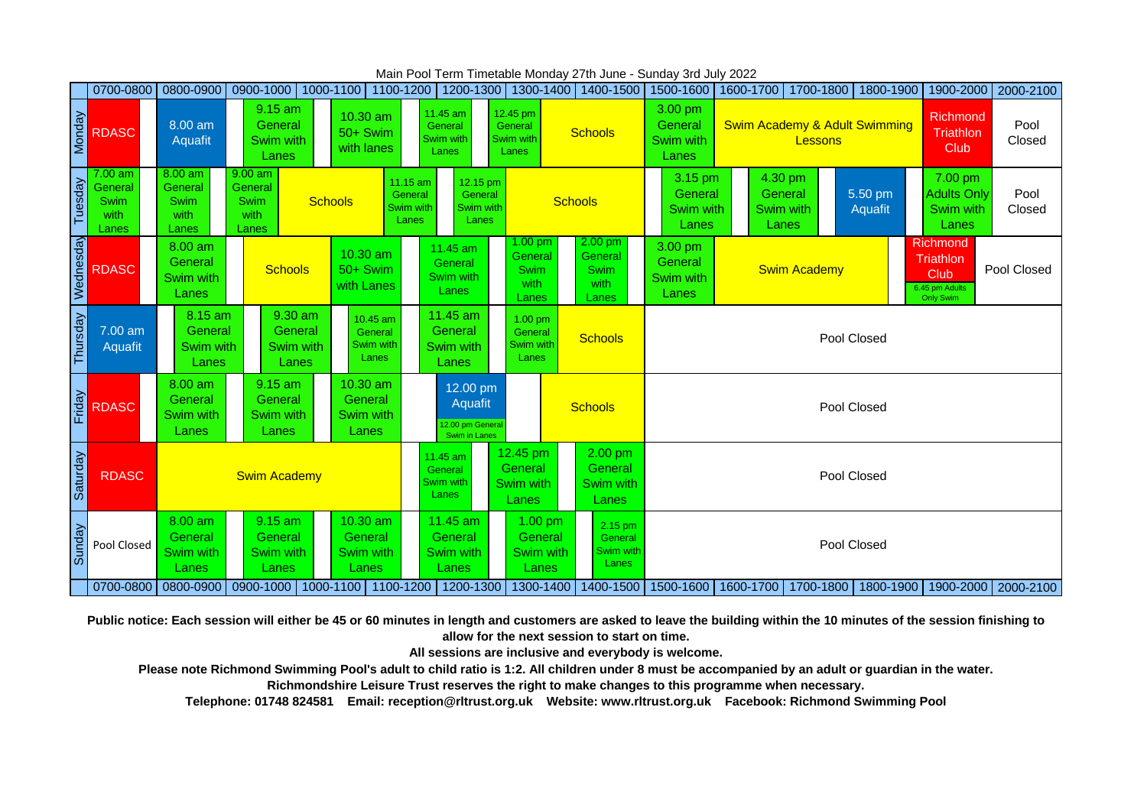|           | 0700-0800                                   |                                                      |                                                      | 0800-0900 0900-1000 1000-1100 1100-1200 1200-1300 1300-1400 |                                                         |                                                  | 1400-1500                                            | 1500-1600                                                       |                                                     |             | 1600-1700 1700-1800 1800-1900                                         |                                                                            | 1900-2000   2000-2100 |  |
|-----------|---------------------------------------------|------------------------------------------------------|------------------------------------------------------|-------------------------------------------------------------|---------------------------------------------------------|--------------------------------------------------|------------------------------------------------------|-----------------------------------------------------------------|-----------------------------------------------------|-------------|-----------------------------------------------------------------------|----------------------------------------------------------------------------|-----------------------|--|
| Monday    | <b>RDASC</b>                                | $8.00$ am<br>Aquafit                                 | 9.15 am<br>General<br>Swim with<br>Lanes             | 10.30 am<br>50+ Swim<br>with lanes                          | 11.45 am<br>General<br>Swim with<br>Lanes               | 12.45 pm<br>General<br>Swim with<br>Lanes        | <b>Schools</b>                                       | 3.00 pm<br>General<br>Swim with<br>Lanes                        | <b>Swim Academy &amp; Adult Swimming</b><br>Lessons |             |                                                                       | <b>Richmond</b><br>Triathlon<br>Club                                       | Pool<br>Closed        |  |
| Tuesday   | 7.00 am<br>General<br>Swim<br>with<br>Lanes | $8.00$ am<br>General<br><b>Swim</b><br>with<br>Lanes | $9.00$ am<br>General<br><b>Swim</b><br>with<br>Lanes | 11.15 am<br>General<br><b>Schools</b><br>Swim with<br>Lanes | 12.15 pm<br>General<br>Swim with<br>Lanes               |                                                  | <b>Schools</b>                                       | 3.15 pm<br>General<br>Swim with<br>Lanes                        | General<br>Swim with<br>Lanes                       | 4.30 pm     | 5.50 pm<br>Aquafit                                                    | 7.00 pm<br><b>Adults Only</b><br>Swim with<br>Lanes                        | Pool<br>Closed        |  |
| Wednesday | <b>RDASC</b>                                | $8.00$ am<br>General<br>Swim with<br>Lanes           | <b>Schools</b>                                       | 10.30 am<br>50+ Swim<br>with Lanes                          | 11.45 am<br>General<br>Swim with<br>Lanes               | $1.00$ pm<br>General<br>Swim<br>with<br>Lanes    | $2.00$ pm<br>General<br><b>Swim</b><br>with<br>Lanes | 3.00 pm<br>General<br><b>Swim Academy</b><br>Swim with<br>Lanes |                                                     |             |                                                                       | <b>Richmond</b><br>Triathlon<br>Club<br>6.45 pm Adults<br><b>Only Swim</b> | Pool Closed           |  |
| Thursday  | 7.00 am<br>Aquafit                          | 8.15 am<br>General<br>Swim with<br>Lanes             | 9.30 am<br>General<br>Swim with<br>Lanes             | 10.45 am<br>General<br>Swim with<br>Lanes                   | 11.45 am<br>General<br>Swim with<br>Lanes               | $1.00$ pm<br>General<br>Swim with<br>Lanes       | <b>Schools</b>                                       | Pool Closed                                                     |                                                     |             |                                                                       |                                                                            |                       |  |
| Friday    | <b>RDASC</b>                                | 8.00 am<br>General<br>Swim with<br>Lanes             | 9.15 am<br>General<br>Swim with<br>Lanes             | 10.30 am<br>General<br>Swim with<br>Lanes                   | 12.00 pm<br>Aquafit<br>12.00 pm Genera<br>Swim in Lanes |                                                  | <b>Schools</b>                                       |                                                                 |                                                     |             | Pool Closed                                                           |                                                                            |                       |  |
| Saturday  | <b>RDASC</b>                                |                                                      | <b>Swim Academy</b>                                  |                                                             | 11.45 am<br>General<br>Swim with<br>Lanes               | 12.45 pm<br>General<br><b>Swim with</b><br>Lanes | 2.00 pm<br>General<br><b>Swim with</b><br>Lanes      | Pool Closed                                                     |                                                     |             |                                                                       |                                                                            |                       |  |
| Sunday    | Pool Closed                                 | 8.00 am<br>General<br>Swim with<br>Lanes             | $9.15$ am<br>General<br>Swim with<br>Lanes           | 10.30 am<br>General<br><b>Swim with</b><br>Lanes            | 11.45 am<br>General<br>Swim with<br>Lanes               | 1.00 pm<br>General<br>Swim with<br>Lanes         | 2.15 pm<br>General<br><b>Swim with</b><br>Lanes      |                                                                 |                                                     | Pool Closed |                                                                       |                                                                            |                       |  |
|           |                                             |                                                      |                                                      | 0700-0800 0800-0900 0900-1000 1000-1100 1100-1200 1200-1300 |                                                         | 1300-1400                                        | 1400-1500                                            |                                                                 |                                                     |             | 1500-1600   1600-1700   1700-1800   1800-1900   1900-2000   2000-2100 |                                                                            |                       |  |

Main Pool Term Timetable Monday 27th June - Sunday 3rd July 2022

**Public notice: Each session will either be 45 or 60 minutes in length and customers are asked to leave the building within the 10 minutes of the session finishing to allow for the next session to start on time.**

**All sessions are inclusive and everybody is welcome.**

**Please note Richmond Swimming Pool's adult to child ratio is 1:2. All children under 8 must be accompanied by an adult or guardian in the water.**

**Richmondshire Leisure Trust reserves the right to make changes to this programme when necessary.**

**Telephone: 01748 824581 Email: reception@rltrust.org.uk Website: www.rltrust.org.uk Facebook: Richmond Swimming Pool**